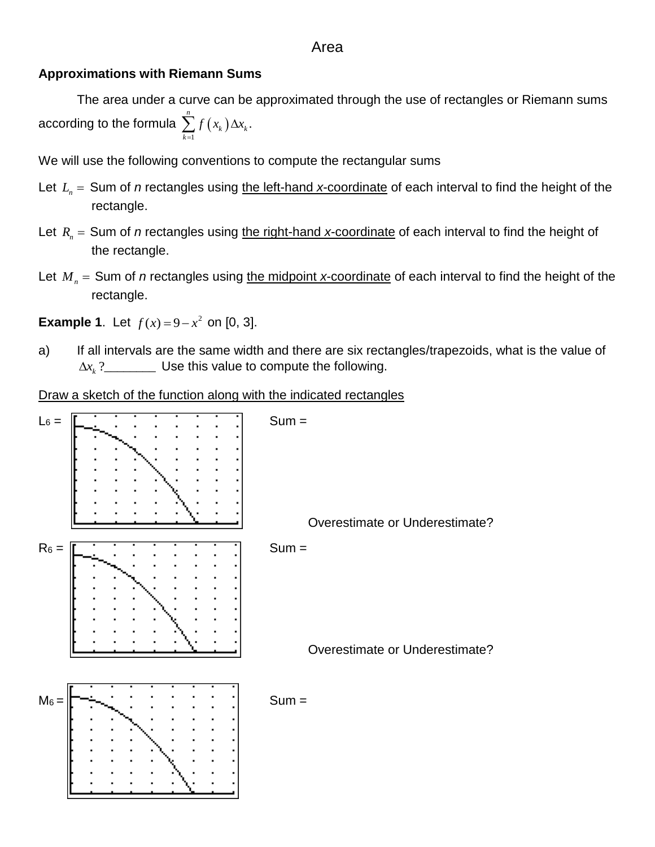### Area

#### **Approximations with Riemann Sums**

The area under a curve can be approximated through the use of rectangles or Riemann sums according to the formula  $\sum f(x_k)$ 1  $\sum_{k=1}^{n} f(x_k) \Delta x_k$ .  $k \int \Delta \lambda_k$ *k*  $f(x_k) \Delta x$  $\sum_{k=1}^{\infty} f(x_k) \Delta$ 

We will use the following conventions to compute the rectangular sums

- Let  $L_n =$  Sum of *n* rectangles using the left-hand *x*-coordinate of each interval to find the height of the rectangle.
- Let  $R_n =$  Sum of *n* rectangles using the right-hand *x*-coordinate of each interval to find the height of the rectangle.
- Let  $M_n =$  Sum of *n* rectangles using <u>the midpoint *x*-coordinate</u> of each interval to find the height of the rectangle.

**Example 1**. Let  $f(x) = 9 - x^2$  on [0, 3].

a) If all intervals are the same width and there are six rectangles/trapezoids, what is the value of  $\Delta x_{k}$  ? $\frac{1}{\Delta x_{k}}$   $\Delta x_{k}$   $\Delta x_{k}$   $\Delta x_{k}$   $\Delta x_{k}$   $\Delta x_{k}$   $\Delta x_{k}$   $\Delta x_{k}$   $\Delta x_{k}$   $\Delta x_{k}$   $\Delta x_{k}$   $\Delta x_{k}$   $\Delta x_{k}$ 

Draw a sketch of the function along with the indicated rectangles

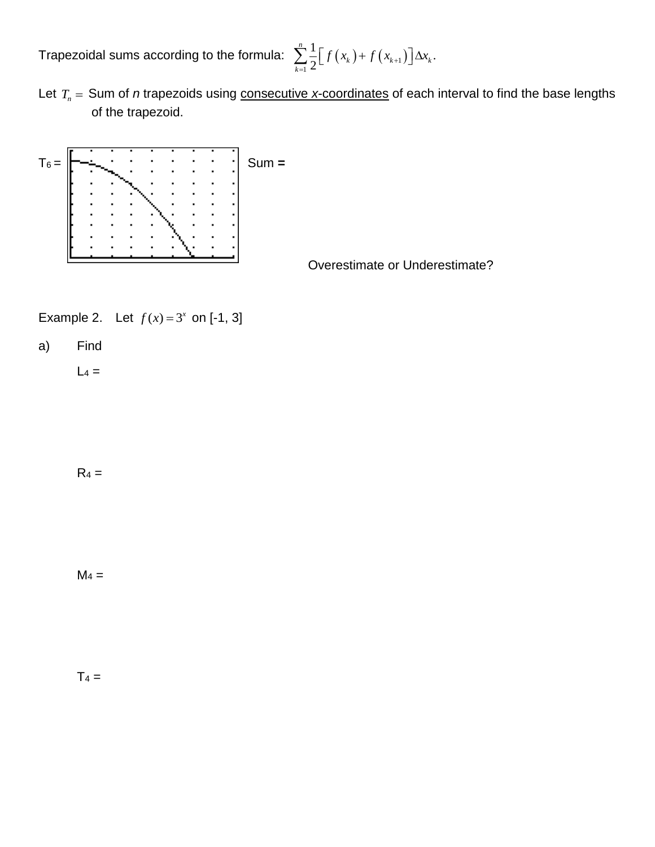Trapezoidal sums according to the formula:  $\sum_{n=1}^{\infty} |f(x_k) + f(x_{k+1})|$ 1  $\frac{1}{2} \left[ f(x_k) + f(x_{k+1}) \right] \Delta x_k.$ 2 *n*  $\sum_{k=1}^{\infty} \frac{1}{2} [f(x_k) + f(x_{k+1})] \Delta x_k$  $\sum_{k=1}^{n} \frac{1}{2} [f(x_k) + f(x_{k+1})] \Delta x_k.$ 

Let  $T_n$  = Sum of *n* trapezoids using consecutive x-coordinates of each interval to find the base lengths of the trapezoid.



Overestimate or Underestimate?

Example 2. Let  $f(x) = 3^x$  on [-1, 3]

a) Find

 $L_4 =$ 

 $R_4 =$ 

 $M_4 =$ 

 $T_4 =$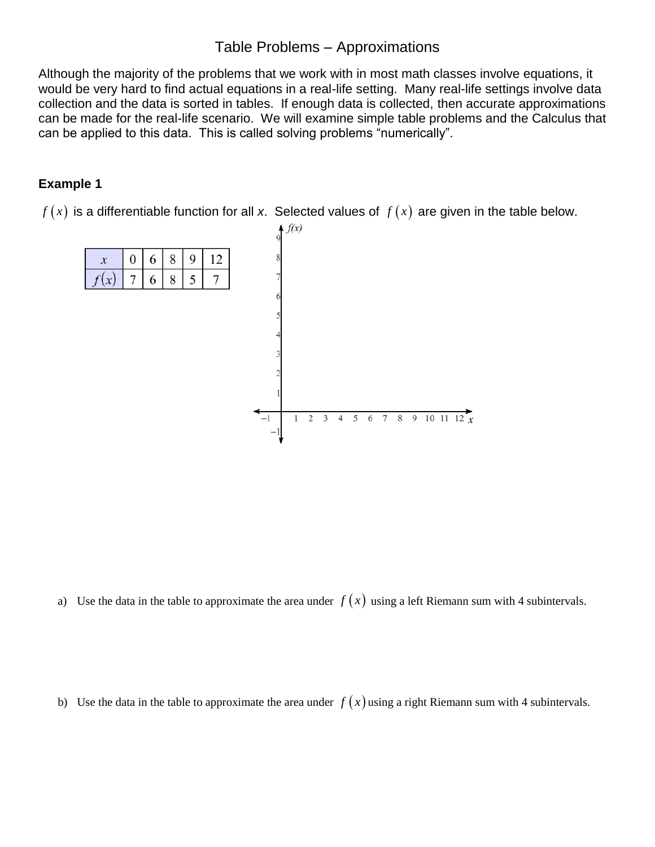# Table Problems – Approximations

Although the majority of the problems that we work with in most math classes involve equations, it would be very hard to find actual equations in a real-life setting. Many real-life settings involve data collection and the data is sorted in tables. If enough data is collected, then accurate approximations can be made for the real-life scenario. We will examine simple table problems and the Calculus that can be applied to this data. This is called solving problems "numerically".

# **Example 1**

 $f(x)$  is a differentiable function for all x. Selected values of  $f(x)$  are given in the table below.



a) Use the data in the table to approximate the area under  $f(x)$  using a left Riemann sum with 4 subintervals.

b) Use the data in the table to approximate the area under  $f(x)$  using a right Riemann sum with 4 subintervals.